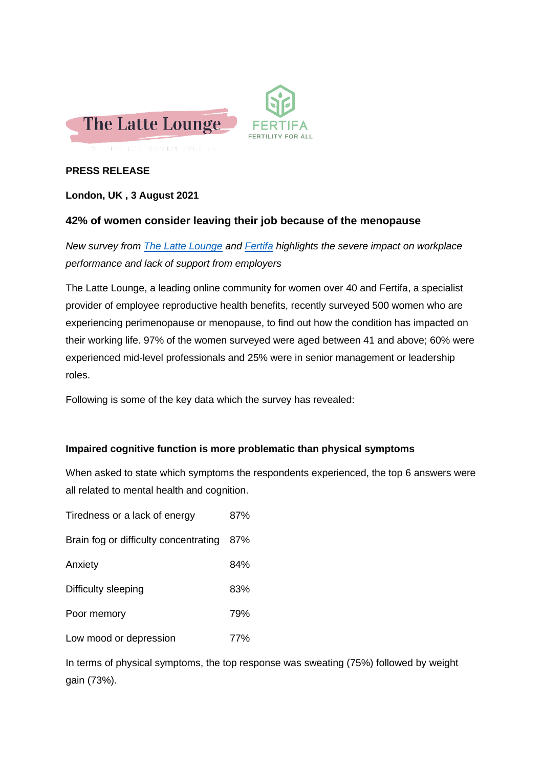

## **PRESS RELEASE**

## **London, UK , 3 August 2021**

## **42% of women consider leaving their job because of the menopause**

*New survey from The [Latte Lounge](http://www.lattelounge.co.uk/) and [Fertifa](http://www.fertifa.com/) highlights the severe impact on workplace performance and lack of support from employers*

The Latte Lounge, a leading online community for women over 40 and Fertifa, a specialist provider of employee reproductive health benefits, recently surveyed 500 women who are experiencing perimenopause or menopause, to find out how the condition has impacted on their working life. 97% of the women surveyed were aged between 41 and above; 60% were experienced mid-level professionals and 25% were in senior management or leadership roles.

Following is some of the key data which the survey has revealed:

### **Impaired cognitive function is more problematic than physical symptoms**

When asked to state which symptoms the respondents experienced, the top 6 answers were all related to mental health and cognition.

| Tiredness or a lack of energy         | 87% |
|---------------------------------------|-----|
| Brain fog or difficulty concentrating | 87% |
| Anxiety                               | 84% |
| Difficulty sleeping                   | 83% |
| Poor memory                           | 79% |
| Low mood or depression                | 77% |

In terms of physical symptoms, the top response was sweating (75%) followed by weight gain (73%).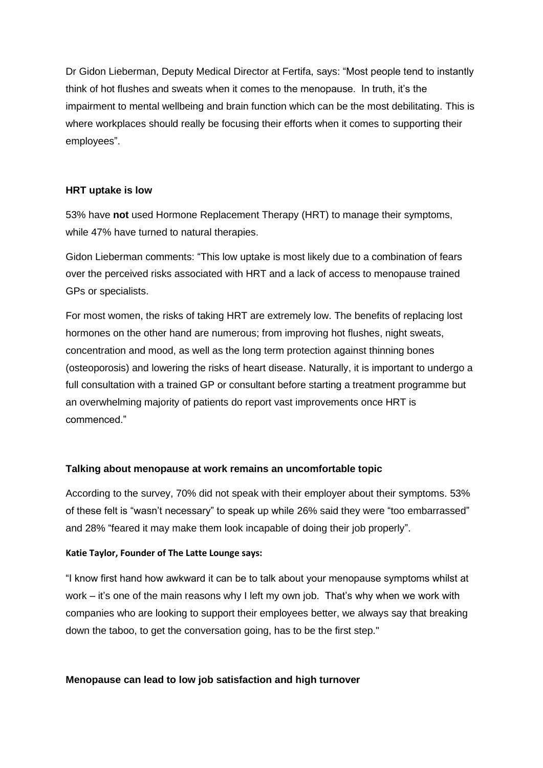Dr Gidon Lieberman, Deputy Medical Director at Fertifa, says: "Most people tend to instantly think of hot flushes and sweats when it comes to the menopause. In truth, it's the impairment to mental wellbeing and brain function which can be the most debilitating. This is where workplaces should really be focusing their efforts when it comes to supporting their employees".

### **HRT uptake is low**

53% have **not** used Hormone Replacement Therapy (HRT) to manage their symptoms, while 47% have turned to natural therapies.

Gidon Lieberman comments: "This low uptake is most likely due to a combination of fears over the perceived risks associated with HRT and a lack of access to menopause trained GPs or specialists.

For most women, the risks of taking HRT are extremely low. The benefits of replacing lost hormones on the other hand are numerous; from improving hot flushes, night sweats, concentration and mood, as well as the long term protection against thinning bones (osteoporosis) and lowering the risks of heart disease. Naturally, it is important to undergo a full consultation with a trained GP or consultant before starting a treatment programme but an overwhelming majority of patients do report vast improvements once HRT is commenced."

### **Talking about menopause at work remains an uncomfortable topic**

According to the survey, 70% did not speak with their employer about their symptoms. 53% of these felt is "wasn't necessary" to speak up while 26% said they were "too embarrassed" and 28% "feared it may make them look incapable of doing their job properly".

### **Katie Taylor, Founder of The Latte Lounge says:**

"I know first hand how awkward it can be to talk about your menopause symptoms whilst at work – it's one of the main reasons why I left my own job. That's why when we work with companies who are looking to support their employees better, we always say that breaking down the taboo, to get the conversation going, has to be the first step."

### **Menopause can lead to low job satisfaction and high turnover**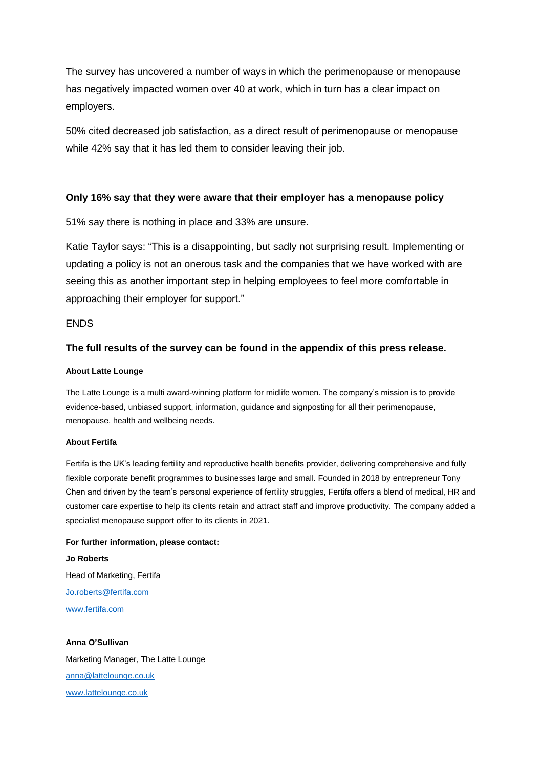The survey has uncovered a number of ways in which the perimenopause or menopause has negatively impacted women over 40 at work, which in turn has a clear impact on employers.

50% cited decreased job satisfaction, as a direct result of perimenopause or menopause while 42% say that it has led them to consider leaving their job.

### **Only 16% say that they were aware that their employer has a menopause policy**

51% say there is nothing in place and 33% are unsure.

Katie Taylor says: "This is a disappointing, but sadly not surprising result. Implementing or updating a policy is not an onerous task and the companies that we have worked with are seeing this as another important step in helping employees to feel more comfortable in approaching their employer for support."

#### ENDS

### **The full results of the survey can be found in the appendix of this press release.**

#### **About Latte Lounge**

The Latte Lounge is a multi award-winning platform for midlife women. The company's mission is to provide evidence-based, unbiased support, information, guidance and signposting for all their perimenopause, menopause, health and wellbeing needs.

#### **About Fertifa**

Fertifa is the UK's leading fertility and reproductive health benefits provider, delivering comprehensive and fully flexible corporate benefit programmes to businesses large and small. Founded in 2018 by entrepreneur Tony Chen and driven by the team's personal experience of fertility struggles, Fertifa offers a blend of medical, HR and customer care expertise to help its clients retain and attract staff and improve productivity. The company added a specialist menopause support offer to its clients in 2021.

# **For further information, please contact: Jo Roberts** Head of Marketing, Fertifa [Jo.roberts@fertifa.com](mailto:Jo.roberts@fertifa.com)

[www.fertifa.com](http://www.fertifa.com/)

**Anna O'Sullivan** Marketing Manager, The Latte Lounge [anna@lattelounge.co.uk](mailto:anna@lattelounge.co.uk) [www.lattelounge.co.uk](http://www.lattelounge.co.uk/)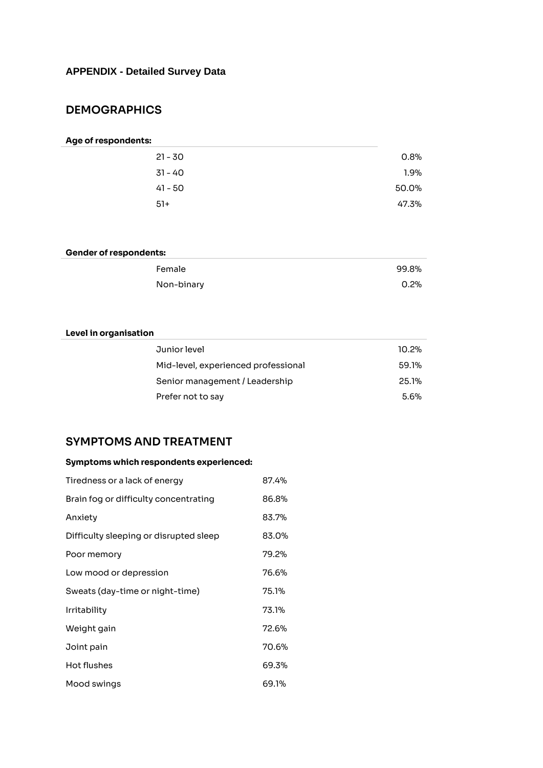# **APPENDIX - Detailed Survey Data**

# **DEMOGRAPHICS**

#### **Age of respondents:**

| $21 - 30$ | 0.8%  |
|-----------|-------|
| 31 - 40   | 1.9%  |
| 41 - 50   | 50.0% |
| $51+$     | 47.3% |

### **Gender of respondents:**

| Female     | 99.8%   |
|------------|---------|
| Non-binary | $0.2\%$ |

### **Level in organisation**

| Junior level                        | 10.2% |
|-------------------------------------|-------|
| Mid-level, experienced professional | 59.1% |
| Senior management / Leadership      | 25.1% |
| Prefer not to say                   | 5.6%  |

## **SYMPTOMS AND TREATMENT**

### **Symptoms which respondents experienced:**

| Tiredness or a lack of energy          | 87.4% |
|----------------------------------------|-------|
| Brain fog or difficulty concentrating  | 86.8% |
| Anxiety                                | 83.7% |
| Difficulty sleeping or disrupted sleep | 83.0% |
| Poor memory                            | 79.2% |
| Low mood or depression                 | 76.6% |
| Sweats (day-time or night-time)        | 75.1% |
| <b>Irritability</b>                    | 73.1% |
| Weight gain                            | 72.6% |
| Joint pain                             | 70.6% |
| Hot flushes                            | 69.3% |
| Mood swings                            | 69.1% |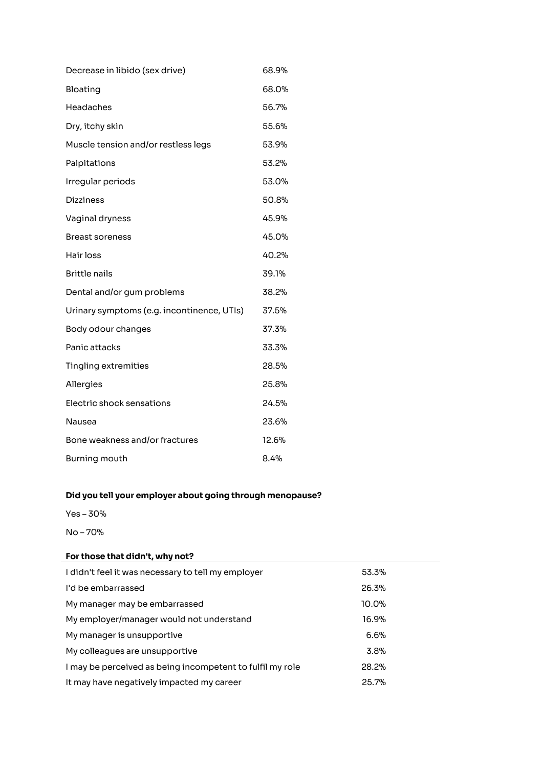| Decrease in libido (sex drive)             | 68.9% |
|--------------------------------------------|-------|
| Bloating                                   | 68.0% |
| Headaches                                  | 56.7% |
| Dry, itchy skin                            | 55.6% |
| Muscle tension and/or restless legs        | 53.9% |
| Palpitations                               | 53.2% |
| Irregular periods                          | 53.0% |
| <b>Dizziness</b>                           | 50.8% |
| Vaginal dryness                            | 45.9% |
| <b>Breast soreness</b>                     | 45.0% |
| Hair loss                                  | 40.2% |
| <b>Brittle nails</b>                       | 39.1% |
| Dental and/or gum problems                 | 38.2% |
| Urinary symptoms (e.g. incontinence, UTIs) | 37.5% |
| Body odour changes                         | 37.3% |
| Panic attacks                              | 33.3% |
| <b>Tingling extremities</b>                | 28.5% |
| Allergies                                  | 25.8% |
| Electric shock sensations                  | 24.5% |
| Nausea                                     | 23.6% |
| Bone weakness and/or fractures             | 12.6% |
| <b>Burning mouth</b>                       | 8.4%  |

### **Did you tell your employer about going through menopause?**

Yes – 30%

No – 70%

### **For those that didn't, why not?**

| I didn't feel it was necessary to tell my employer        | 53.3% |
|-----------------------------------------------------------|-------|
| I'd be embarrassed                                        | 26.3% |
| My manager may be embarrassed                             | 10.0% |
| My employer/manager would not understand                  | 16.9% |
| My manager is unsupportive                                | 6.6%  |
| My colleagues are unsupportive                            | 3.8%  |
| I may be perceived as being incompetent to fulfil my role | 28.2% |
| It may have negatively impacted my career                 | 25.7% |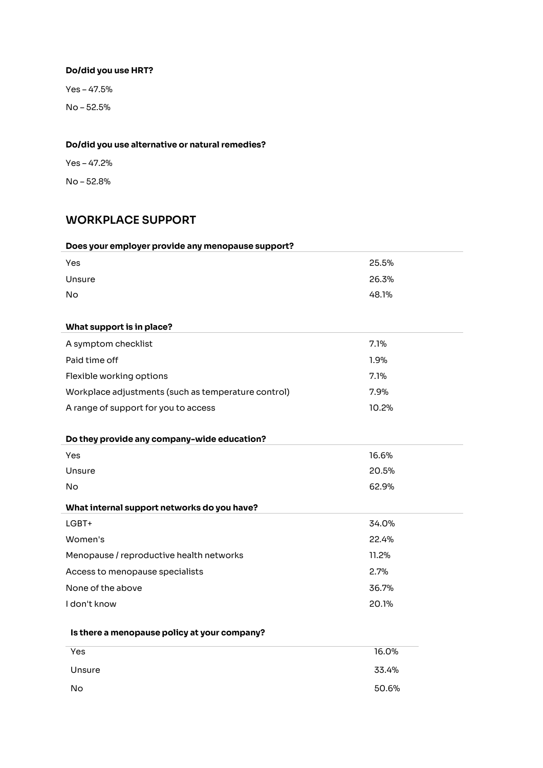# **Do/did you use HRT?**

Yes – 47.5% No – 52.5%

### **Do/did you use alternative or natural remedies?**

Yes – 47.2%

No – 52.8%

# **WORKPLACE SUPPORT**

| Does your employer provide any menopause support?   |       |
|-----------------------------------------------------|-------|
| Yes                                                 | 25.5% |
| Unsure                                              | 26.3% |
| No                                                  | 48.1% |
|                                                     |       |
| What support is in place?                           |       |
| A symptom checklist                                 | 7.1%  |
| Paid time off                                       | 1.9%  |
| Flexible working options                            | 7.1%  |
| Workplace adjustments (such as temperature control) | 7.9%  |
| A range of support for you to access                | 10.2% |
|                                                     |       |
| Do they provide any company-wide education?         |       |
| Yes                                                 | 16.6% |
| Unsure                                              | 20.5% |
| <b>No</b>                                           | 62.9% |
| What internal support networks do you have?         |       |
| LGBT+                                               | 34.0% |
| Women's                                             | 22.4% |
| Menopause / reproductive health networks            | 11.2% |
| Access to menopause specialists                     | 2.7%  |
| None of the above                                   | 36.7% |
| I don't know                                        | 20.1% |
|                                                     |       |
| Is there a menopause policy at your company?        |       |
| Yes                                                 | 16.0% |
| Unsure                                              | 33.4% |

No 50.6%